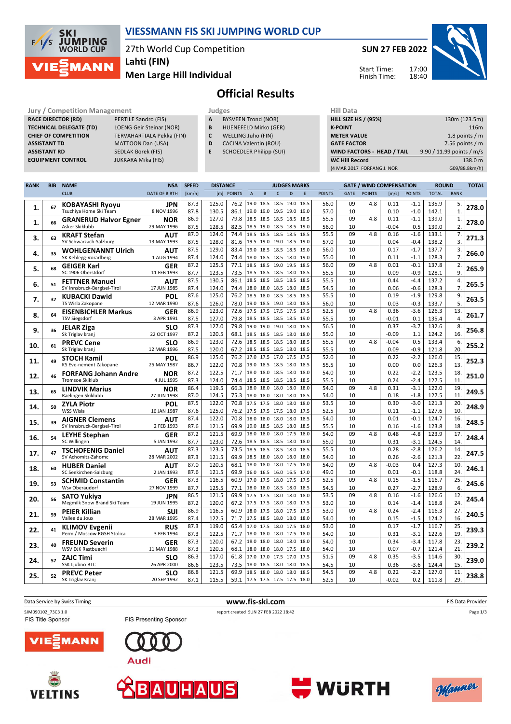

## **VIESSMANN FIS SKI JUMPING WORLD CUP**

27th World Cup Competition

**Lahti (FIN)**

**Men Large Hill Individual**



Finish Time:

18:40



**Official Results**

| <b>Jury / Competition Management</b> |                                  |              | <b>Judges</b>                  | <b>Hill Data</b>   |
|--------------------------------------|----------------------------------|--------------|--------------------------------|--------------------|
| <b>RACE DIRECTOR (RD)</b>            | PERTILE Sandro (FIS)             | $\mathbf{A}$ | <b>BYSVEEN Trond (NOR)</b>     | <b>HILL SIZE I</b> |
| <b>TECHNICAL DELEGATE (TD)</b>       | <b>LOENG Geir Steinar (NOR)</b>  | B            | HUENEFELD Mirko (GER)          | <b>K-POINT</b>     |
| <b>CHIEF OF COMPETITION</b>          | <b>TERVAHARTIALA Pekka (FIN)</b> |              | WELLING Juho (FIN)             | <b>METER VA</b>    |
| <b>ASSISTANT TD</b>                  | <b>MATTOON Dan (USA)</b>         | D            | <b>CACINA Valentin (ROU)</b>   | <b>GATE FACT</b>   |
| <b>ASSISTANT RD</b>                  | <b>SEDLAK Borek (FIS)</b>        | E.           | <b>SCHOEDLER Philipp (SUI)</b> | <b>WIND FAC</b>    |
| <b>EQUIPMENT CONTROL</b>             | <b>JUKKARA Mika (FIS)</b>        |              |                                | <b>WC Hill Re</b>  |

|  |  | $\sim$ |  |  |  |
|--|--|--------|--|--|--|
|  |  |        |  |  |  |

- **A** BYSVEEN Trond (NOR) **B** HUENEFELD Mirko (GER)
- **C** WELLING Juho (FIN)
- **D** CACINA Valentin (ROU)
- **E** SCHOEDLER Philipp (SUI)

| (4 MAR 2017 FORFANG J. NOR        | G09/88.8km/h)             |
|-----------------------------------|---------------------------|
| <b>WC Hill Record</b>             | 138.0 m                   |
| <b>WIND FACTORS - HEAD / TAIL</b> | 9.90 / 11.99 points / m/s |
| <b>GATE FACTOR</b>                | 7.56 points $/m$          |
| <b>METER VALUE</b>                | 1.8 points $/m$           |
| <b>K-POINT</b>                    | 116m                      |
| <b>HILL SIZE HS / (95%)</b>       | 130m (123.5m)             |
| нш рата                           |                           |

| <b>RANK</b> | <b>BIB</b> | <b>NAME</b>                                      | <b>NSA</b>           | <b>SPEED</b><br><b>DISTANCE</b> |       |               | <b>JUDGES MARKS</b> |                          |              |      | <b>GATE / WIND COMPENSATION</b> |               |             |               | <b>ROUND</b> |               | <b>TOTAL</b> |                  |       |
|-------------|------------|--------------------------------------------------|----------------------|---------------------------------|-------|---------------|---------------------|--------------------------|--------------|------|---------------------------------|---------------|-------------|---------------|--------------|---------------|--------------|------------------|-------|
|             |            | <b>CLUB</b>                                      | <b>DATE OF BIRTH</b> | [km/h]                          | [m]   | <b>POINTS</b> | $\overline{A}$      | B                        | $\mathsf{C}$ | D    | E                               | <b>POINTS</b> | <b>GATE</b> | <b>POINTS</b> | [m/s]        | <b>POINTS</b> | <b>TOTAL</b> | <b>RANK</b>      |       |
|             |            |                                                  | <b>JPN</b>           | 87.3                            | 125.0 | 76.2          |                     | 19.0 18.5 18.5 19.0      |              |      | 18.5                            | 56.0          | 09          | 4.8           | 0.11         | $-1.1$        | 135.9        | 5.               |       |
| 1.          | 67         | <b>KOBAYASHI Ryoyu</b><br>Tsuchiya Home Ski Team | 8 NOV 1996           | 87.8                            | 130.5 | 86.1          |                     | 19.0 19.0 19.5 19.0      |              |      | 19.0                            | 57.0          | 10          |               | 0.10         | $-1.0$        | 142.1        | $\mathbf{1}$     | 278.0 |
|             |            | <b>GRANERUD Halvor Egner</b>                     | <b>NOR</b>           | 86.9                            | 127.0 | 79.8          |                     | 18.5 18.5 18.5 18.5      |              |      | 18.5                            | 55.5          | 09          | 4.8           | 0.11         | $-1.1$        | 139.0        | 1.               |       |
| 1.          | 66         | Asker Skiklubb                                   | 29 MAY 1996          | 87.5                            | 128.5 | 82.5          |                     | 18.5 19.0 18.5 18.5      |              |      | 19.0                            | 56.0          | 10          |               | $-0.04$      | 0.5           | 139.0        | 2.               | 278.0 |
|             |            | <b>KRAFT Stefan</b>                              | AUT                  | 87.0                            | 124.0 | 74.4          |                     | 18.5 18.5 18.5 18.5      |              |      | 18.5                            | 55.5          | 09          | 4.8           | 0.16         | $-1.6$        | 133.1        | 7.               |       |
| 3.          | 63         | SV Schwarzach-Salzburg                           | 13 MAY 1993          | 87.5                            | 128.0 | 81.6          |                     | 19.5 19.0 19.0 18.5      |              |      | 19.0                            | 57.0          | 10          |               | 0.04         | $-0.4$        | 138.2        | 3.               | 271.3 |
|             |            | <b>WOHLGENANNT Ulrich</b>                        | AUT                  | 87.5                            | 129.0 | 83.4          |                     | 19.0 18.5 18.5 18.5      |              |      | 19.0                            | 56.0          | 10          |               | 0.17         | $-1.7$        | 137.7        | 3.               |       |
| 4.          | 35         | SK Kehlegg-Vorarlberg                            | 1 AUG 1994           | 87.4                            | 124.0 | 74.4          |                     | 18.0 18.5 18.5 18.0      |              |      | 19.0                            | 55.0          | 10          |               | 0.11         | $-1.1$        | 128.3        | 7.               | 266.0 |
|             |            | <b>GEIGER Karl</b>                               | <b>GER</b>           | 87.2                            | 125.5 | 77.1          | 18.5                | 18.5 19.0                |              | 19.5 | 18.5                            | 56.0          | 09          | 4.8           | 0.01         | $-0.1$        | 137.8        | $\overline{2}$ . |       |
| 5.          | 68         | SC 1906 Oberstdorf                               | 11 FEB 1993          | 87.7                            | 123.5 | 73.5          |                     | 18.5 18.5 18.5 18.0      |              |      | 18.5                            | 55.5          | 10          |               | 0.09         | $-0.9$        | 128.1        | 9                | 265.9 |
|             |            | <b>FETTNER Manuel</b>                            | AUT                  | 87.5                            | 130.5 | 86.1          |                     | 18.5 18.5 18.5 18.5      |              |      | 18.5                            | 55.5          | 10          |               | 0.44         | $-4.4$        | 137.2        | 4.               |       |
| 6.          | 51         | SV Innsbruck-Bergisel-Tirol                      | 17 JUN 1985          | 87.4                            | 124.0 | 74.4          |                     | 18.0 18.0 18.5 18.0      |              |      | 18.5                            | 54.5          | 10          |               | 0.06         | $-0.6$        | 128.3        | $\overline{7}$   | 265.5 |
|             |            | <b>KUBACKI Dawid</b>                             | POL                  | 87.6                            | 125.0 | 76.2          |                     | 18.5 18.0 18.5 18.5      |              |      | 18.5                            | 55.5          | 10          |               | 0.19         | $-1.9$        | 129.8        | 9.               |       |
| 7.          | 37         | TS Wisla Zakopane                                | 12 MAR 1990          | 87.6                            | 126.0 | 78.0          |                     | 19.0 18.5 19.0 18.0 18.5 |              |      |                                 | 56.0          | 10          |               | 0.03         | $-0.3$        | 133.7        | 5.               | 263.5 |
|             |            | <b>EISENBICHLER Markus</b>                       | GER                  | 86.9                            | 123.0 | 72.6          |                     | 17.5 17.5 17.5 17.5      |              |      | 17.5                            | 52.5          | 09          | 4.8           | 0.36         | $-3.6$        | 126.3        | 13.              |       |
| 8.          | 64         | <b>TSV Siegsdorf</b>                             | 3 APR 1991           | 87.5                            | 127.0 | 79.8          |                     | 18.5 18.5 18.5 18.5 19.0 |              |      |                                 | 55.5          | 10          |               | $-0.01$      | 0.1           | 135.4        | $\overline{4}$   | 261.7 |
|             |            | <b>JELAR Ziga</b>                                | <b>SLO</b>           | 87.3                            | 127.0 | 79.8          | 19.0                | 19.0 19.0 18.0           |              |      | 18.5                            | 56.5          | 10          |               | 0.37         | $-3.7$        | 132.6        | 8.               |       |
| 9.          | 36         | Sk Triglav kranj                                 | 22 OCT 1997          | 87.2                            | 120.5 | 68.1          |                     | 18.5 18.5 18.5 18.0      |              |      | 18.0                            | 55.0          | 10          |               | $-0.09$      | 1.1           | 124.2        | 16.              | 256.8 |
|             |            | <b>PREVC Cene</b>                                | <b>SLO</b>           | 86.9                            | 123.0 | 72.6          |                     | 18.5 18.5 18.5 18.0      |              |      | 18.5                            | 55.5          | 09          | 4.8           | $-0.04$      | 0.5           | 133.4        | 6.               |       |
| 10.         | 61         | Sk Triglav kranj                                 | 12 MAR 1996          | 87.5                            | 120.0 | 67.2          |                     | 18.5 18.5 18.5 18.0      |              |      | 18.5                            | 55.5          | 10          |               | 0.09         | $-0.9$        | 121.8        | 20.              | 255.2 |
|             |            | <b>STOCH Kamil</b>                               | POL                  | 86.9                            | 125.0 | 76.2          |                     | 17.0 17.5 17.0 17.5      |              |      | 17.5                            | 52.0          | 10          |               | 0.22         | $-2.2$        | 126.0        | 15.              |       |
| 11.         | 49         | KS Eve-nement Zakopane                           | 25 MAY 1987          | 86.7                            | 122.0 | 70.8          |                     | 19.0 18.5 18.5           |              | 18.0 | 18.5                            | 55.5          | 10          |               | 0.00         | 0.0           | 126.3        | 13.              | 252.3 |
|             |            | <b>FORFANG Johann Andre</b>                      | <b>NOR</b>           | 87.2                            | 122.5 | 71.7          | 18.0                | 18.0 18.5 18.0           |              |      | 18.0                            | 54.0          | 10          |               | 0.22         | $-2.2$        | 123.5        | 18.              |       |
| 12.         | 46         | <b>Tromsoe Skiklub</b>                           | 4 JUL 1995           | 87.3                            | 124.0 | 74.4          |                     | 18.5 18.5 18.5 18.5      |              |      | 18.5                            | 55.5          | 10          |               | 0.24         | $-2.4$        | 127.5        | 11               | 251.0 |
|             |            | <b>LINDVIK Marius</b>                            | <b>NOR</b>           | 86.4                            | 119.5 | 66.3          |                     | 18.0 18.0 18.0 18.0      |              |      | 18.0                            | 54.0          | 09          | 4.8           | 0.31         | $-3.1$        | 122.0        | 19.              |       |
| 13.         | 65         | Raelingen Skiklubb                               | 27 JUN 1998          | 87.0                            | 124.5 | 75.3          |                     | 18.0 18.0 18.0 18.0      |              |      | 18.5                            | 54.0          | 10          |               | 0.18         | $-1.8$        | 127.5        | 11               | 249.5 |
|             |            | <b>ZYLA Piotr</b>                                | POL                  | 87.5                            | 122.0 | 70.8          |                     | 17.5 17.5 18.0 18.0      |              |      | 18.0                            | 53.5          | 10          |               | 0.30         | $-3.0$        | 121.3        | 20.              |       |
| 14.         | 50         | WSS Wisla                                        | 16 JAN 1987          | 87.6                            | 125.0 | 76.2          |                     | 17.5 17.5 17.5 18.0      |              |      | 17.5                            | 52.5          | 10          |               | 0.11         | $-1.1$        | 127.6        | 10               | 248.9 |
|             |            | <b>AIGNER Clemens</b>                            | <b>AUT</b>           | 87.4                            | 122.0 | 70.8          |                     | 18.0 18.0 18.0 18.0      |              |      | 18.5                            | 54.0          | 10          |               | 0.01         | $-0.1$        | 124.7        | 16.              |       |
| 15.         | 39         | SV Innsbruck-Bergisel-Tirol                      | 2 FEB 1993           | 87.6                            | 121.5 | 69.9          |                     | 19.0 18.5 18.5 18.0      |              |      | 18.5                            | 55.5          | 10          |               | 0.16         | $-1.6$        | 123.8        | 18.              | 248.5 |
|             | 54         | <b>LEYHE Stephan</b>                             | GER                  | 87.2                            | 121.5 | 69.9          |                     | 18.0 18.0 18.0 17.5      |              |      | 18.0                            | 54.0          | 09          | 4.8           | 0.48         | $-4.8$        | 123.9        | 17.              | 248.4 |
| 16.         |            | SC Willingen                                     | 5 JAN 1992           | 87.7                            | 123.0 | 72.6          |                     | 18.5 18.5 18.5 18.0      |              |      | 18.0                            | 55.0          | 10          |               | 0.31         | $-3.1$        | 124.5        | 14.              |       |
| 17.         | 47         | <b>TSCHOFENIG Daniel</b>                         | AUT                  | 87.3                            | 123.5 | 73.5          |                     | 18.5 18.5 18.5 18.0      |              |      | 18.5                            | 55.5          | 10          |               | 0.28         | $-2.8$        | 126.2        | 14.              | 247.5 |
|             |            | SV Achomitz-Zahomc                               | 28 MAR 2002          | 87.3                            | 121.5 | 69.9          |                     | 18.5 18.0 18.0 18.0      |              |      | 18.0                            | 54.0          | 10          |               | 0.26         | $-2.6$        | 121.3        | 22               |       |
| 18.         | 60         | <b>HUBER Daniel</b>                              | AUT                  | 87.0                            | 120.5 | 68.1          |                     | 18.0 18.0 18.0 17.5      |              |      | 18.0                            | 54.0          | 09          | 4.8           | $-0.03$      | 0.4           | 127.3        | 10.              | 246.1 |
|             |            | SC Seekirchen-Salzburg                           | 2 JAN 1993           | 87.6                            | 121.5 | 69.9          |                     | 16.0 16.5 16.0 16.5      |              |      | 17.0                            | 49.0          | 10          |               | 0.01         | $-0.1$        | 118.8        | 24.              |       |
| 19          | 53         | <b>SCHMID Constantin</b>                         | <b>GER</b>           | 87.3                            | 116.5 | 60.9          |                     | 17.0 17.5 18.0 17.5      |              |      | 17.5                            | 52.5          | 09          | 4.8           | 0.15         | $-1.5$        | 116.7        | 25.              | 245.6 |
|             |            | Wsv Oberaudorf                                   | 27 NOV 1999          | 87.7                            | 125.5 | 77.1          |                     | 18.0 18.0 18.5 18.0      |              |      | 18.5                            | 54.5          | 10          |               | 0.27         | $-2.7$        | 128.9        | 6.               |       |
| 20.         | 56         | <b>SATO Yukiva</b>                               | JPN                  | 86.5                            | 121.5 | 69.9          |                     | 17.5 17.5 18.0 18.0      |              |      | 18.0                            | 53.5          | 09          | 4.8           | 0.16         | $-1.6$        | 126.6        | 12.              | 245.4 |
|             |            | Megmilk Snow Brand Ski Team                      | 19 JUN 1995          | 87.2                            | 120.0 | 67.2          |                     | 17.5 17.5 18.0 18.0      |              |      | 17.5                            | 53.0          | 10          |               | 0.14         | $-1.4$        | 118.8        | 24.              |       |
| 21.         | 59         | <b>PEIER Killian</b>                             | <b>SUI</b>           | 86.9                            | 116.5 | 60.9          |                     | 18.0 17.5 18.0 17.5      |              |      | 17.5                            | 53.0          | 09          | 4.8           | 0.24         | $-2.4$        | 116.3        | 27.              | 240.5 |
|             |            | Vallee du Joux                                   | 28 MAR 1995          | 87.4                            | 122.5 | 71.7          |                     | 17.5 18.5 18.0 18.0 18.0 |              |      |                                 | 54.0          | 10          |               | 0.15         | $-1.5$        | 124.2        | 16               |       |
| 22.         | 41         | <b>KLIMOV Evgenii</b>                            | <b>RUS</b>           | 87.3                            | 119.0 | 65.4          |                     | 17.0 17.5 18.0 17.5      |              |      | 18.0                            | 53.0          | 10          |               | 0.17         | $-1.7$        | 116.7        | 25.              | 239.3 |
|             |            | Perm / Moscow RGSH Stolica                       | 3 FEB 1994           | 87.3                            | 122.5 | 71.7          |                     | 18.0 18.0 18.0 17.5      |              |      | 18.0                            | 54.0          | 10          |               | 0.31         | $-3.1$        | 122.6        | 19               |       |
| 23.         | 40         | <b>FREUND Severin</b>                            | GER                  | 87.3                            | 120.0 | 67.2          | 18.0                | 18.0 18.0 18.0           |              |      | 18.0                            | 54.0          | 10          |               | 0.34         | $-3.4$        | 117.8        | 23.              | 239.2 |
|             |            | WSV DJK Rastbuechl                               | 11 MAY 1988          | 87.3                            | 120.5 | 68.1          |                     | 18.0 18.0 18.0 17.5      |              |      | 18.0                            | 54.0          | 10          |               | 0.07         | $-0.7$        | 121.4        | 21.              |       |
| 24.         | 57         | <b>ZAJC Timi</b>                                 | <b>SLO</b>           | 86.3                            | 117.0 | 61.8          |                     | 17.0 17.0 17.5 17.0      |              |      | 17.5                            | 51.5          | 09          | 4.8           | 0.35         | $-3.5$        | 114.6        | 30.              | 239.0 |
|             |            | <b>SSK Ljubno BTC</b>                            | 26 APR 2000          | 86.6                            | 123.5 | 73.5          |                     | 18.0 18.5 18.0 18.0      |              |      | 18.5                            | 54.5          | 10          |               | 0.36         | $-3.6$        | 124.4        | 15.              |       |
| 25.         | 52         | <b>PREVC Peter</b>                               | <b>SLO</b>           | 86.8                            | 121.5 | 69.9          |                     | 18.5 18.0 18.0 18.0      |              |      | 18.5                            | 54.5          | 09          | 4.8           | 0.22         | $-2.2$        | 127.0        | 11.              | 238.8 |
|             |            | SK Triglav Kranj                                 | 20 SEP 1992          | 87.1                            | 115.5 | 59.1          |                     | 17.5 17.5 17.5 17.5      |              |      | 18.0                            | 52.5          | 10          |               | $-0.02$      | 0.2           | 111.8        | 29.              |       |

| Data Service by Swiss Timing                   |                               | FIS Data Provider                    |          |
|------------------------------------------------|-------------------------------|--------------------------------------|----------|
| SJM090102_73C3 1.0<br><b>FIS Title Sponsor</b> | <b>FIS Presenting Sponsor</b> | report created SUN 27 FEB 2022 18:42 | Page 1/3 |
| <b>VIESMANN</b>                                |                               |                                      |          |
|                                                | <b>Audi</b>                   |                                      |          |
| $-2000$                                        | the property of the con-      |                                      |          |







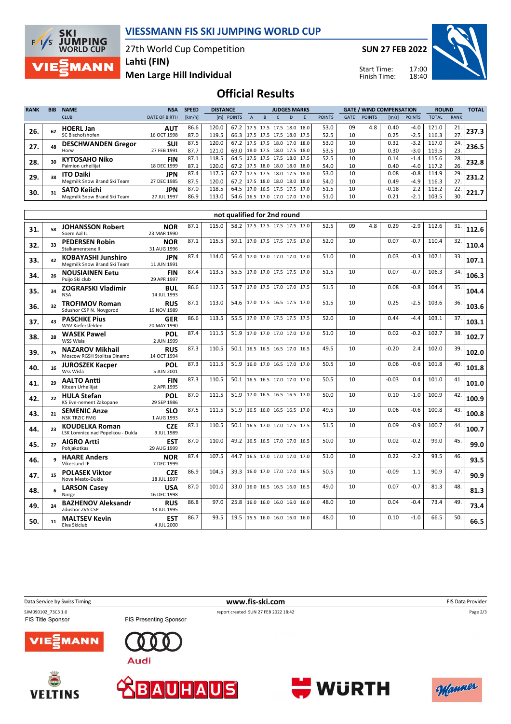

27th World Cup Competition



**Men Large Hill Individual Lahti (FIN)**

**SUN 27 FEB 2022**

Start Time: Finish Time:



## **Official Results**

| <b>RANK</b> | <b>BIB</b> | <b>NAME</b>                                        | <b>NSA</b>                | <b>SPEED</b> | <b>DISTANCE</b> |              |                                       |                     | <b>JUDGES MARKS</b> |      |                                    |               |             | <b>GATE / WIND COMPENSATION</b> |                 |                  | <b>ROUND</b>   |             | <b>TOTAL</b> |
|-------------|------------|----------------------------------------------------|---------------------------|--------------|-----------------|--------------|---------------------------------------|---------------------|---------------------|------|------------------------------------|---------------|-------------|---------------------------------|-----------------|------------------|----------------|-------------|--------------|
|             |            | <b>CLUB</b>                                        | <b>DATE OF BIRTH</b>      | [km/h]       |                 | [m] POINTS   |                                       |                     |                     |      |                                    | <b>POINTS</b> | <b>GATE</b> | <b>POINTS</b>                   | [m/s]           | <b>POINTS</b>    | <b>TOTAL</b>   | <b>RANK</b> |              |
| 26.         |            | <b>HOERL Jan</b><br>SC Bischofshofen               | <b>AUT</b><br>16 OCT 1998 | 86.6<br>87.0 | 120.0<br>119.5  | 67.2<br>66.3 | 17.5 17.5 17.5                        |                     |                     | 18.0 | 18.0<br>17.5 17.5 17.5 18.0 17.5   | 53.0<br>52.5  | 09<br>10    | 4.8                             | 0.40<br>0.25    | $-4.0$<br>$-2.5$ | 121.0<br>116.3 | 21.<br>27.  | 237.3        |
| 27.         |            | <b>DESCHWANDEN Gregor</b><br>Horw                  | <b>SUI</b><br>27 FEB 1991 | 87.5<br>87.7 | 120.0<br>121.0  | 67.2<br>69.0 |                                       | 17.5 17.5 18.0 17.0 |                     |      | 18.0<br>18.0 17.5 18.0 17.5 18.0   | 53.0<br>53.5  | 10<br>10    |                                 | 0.32<br>0.30    | $-3.2$<br>$-3.0$ | 117.0<br>119.5 | 24.<br>23.  | 236.5        |
| 28.         |            | <b>KYTOSAHO Niko</b><br>Paimion urheilijat         | <b>FIN</b><br>18 DEC 1999 | 87.1<br>87.1 | 118.5<br>120.0  | 64.5<br>67.2 | 17.5 18.0 18.0 18.0                   |                     |                     |      | 17.5 17.5 17.5 18.0 17.5  <br>18.0 | 52.5<br>54.0  | 10<br>10    |                                 | 0.14<br>0.40    | $-1.4$<br>$-4.0$ | 115.6<br>117.2 | 28.<br>26.  | 232.8        |
| 29.         |            | <b>ITO Daiki</b><br>Megmilk Snow Brand Ski Team    | <b>JPN</b><br>27 DEC 1985 | 87.4<br>87.5 | 117.5<br>120.0  | 62.7<br>67.2 | 17.5 17.5 18.0 17.5                   | 17.5 18.0 18.0 18.0 |                     |      | 18.0<br>18.0                       | 53.0<br>54.0  | 10<br>10    |                                 | 0.08<br>0.49    | $-0.8$<br>$-4.9$ | 114.9<br>116.3 | 29.<br>27.  | 231.2        |
| 30.         |            | <b>SATO Keiichi</b><br>Megmilk Snow Brand Ski Team | <b>JPN</b><br>27 JUL 1997 | 87.0<br>86.9 | 118.5<br>113.0  | 64.5         | 17.0<br>54.6 16.5 17.0 17.0 17.0 17.0 | 16.5 17.5 17.5      |                     |      | 17.0                               | 51.5<br>51.0  | 10<br>10    |                                 | $-0.18$<br>0.21 | 2.2<br>$-2.1$    | 118.2<br>103.5 | 22.<br>30.  | 221.7        |

|     | not qualified for 2nd round |                                                           |                           |      |       |      |                          |  |      |    |     |         |        |       |     |       |
|-----|-----------------------------|-----------------------------------------------------------|---------------------------|------|-------|------|--------------------------|--|------|----|-----|---------|--------|-------|-----|-------|
| 31. | 58                          | <b>JOHANSSON Robert</b><br>Soere Aal IL                   | <b>NOR</b><br>23 MAR 1990 | 87.1 | 115.0 | 58.2 | 17.5 17.5 17.5 17.5 17.0 |  | 52.5 | 09 | 4.8 | 0.29    | $-2.9$ | 112.6 | 31. | 112.6 |
| 32. | 33                          | <b>PEDERSEN Robin</b><br>Stalkameratene II                | <b>NOR</b><br>31 AUG 1996 | 87.1 | 115.5 | 59.1 | 17.0 17.5 17.5 17.5 17.0 |  | 52.0 | 10 |     | 0.07    | $-0.7$ | 110.4 | 32. | 110.4 |
| 33. | 42                          | <b>KOBAYASHI Junshiro</b><br>Megmilk Snow Brand Ski Team  | <b>JPN</b><br>11 JUN 1991 | 87.4 | 114.0 | 56.4 | 17.0 17.0 17.0 17.0 17.0 |  | 51.0 | 10 |     | 0.03    | $-0.3$ | 107.1 | 33. | 107.1 |
| 34. | 26                          | <b>NOUSIAINEN Eetu</b><br>Puiio Ski club                  | <b>FIN</b><br>29 APR 1997 | 87.4 | 113.5 | 55.5 | 17.0 17.0 17.5 17.5 17.0 |  | 51.5 | 10 |     | 0.07    | $-0.7$ | 106.3 | 34. | 106.3 |
| 35. | 34                          | <b>ZOGRAFSKI Vladimir</b><br><b>NSA</b>                   | <b>BUL</b><br>14 JUL 1993 | 86.6 | 112.5 | 53.7 | 17.0 17.5 17.0 17.0 17.5 |  | 51.5 | 10 |     | 0.08    | $-0.8$ | 104.4 | 35. | 104.4 |
| 36. | 32                          | <b>TROFIMOV Roman</b><br>Sdushor CSP N. Novgorod          | <b>RUS</b><br>19 NOV 1989 | 87.1 | 113.0 | 54.6 | 17.0 17.5 16.5 17.5 17.0 |  | 51.5 | 10 |     | 0.25    | $-2.5$ | 103.6 | 36. | 103.6 |
| 37. | 43                          | <b>PASCHKE Pius</b><br>WSV Kiefersfelden                  | <b>GER</b><br>20 MAY 1990 | 86.6 | 113.5 | 55.5 | 17.0 17.0 17.5 17.5 17.5 |  | 52.0 | 10 |     | 0.44    | $-4.4$ | 103.1 | 37. | 103.1 |
| 38. | 28                          | <b>WASEK Pawel</b><br>WSS Wisla                           | POL<br>2 JUN 1999         | 87.4 | 111.5 | 51.9 | 17.0 17.0 17.0 17.0 17.0 |  | 51.0 | 10 |     | 0.02    | $-0.2$ | 102.7 | 38. | 102.7 |
| 39. | 25                          | <b>NAZAROV Mikhail</b><br>Moscow RGSH Stolitsa Dinamo     | <b>RUS</b><br>14 OCT 1994 | 87.3 | 110.5 | 50.1 | 16.5 16.5 16.5 17.0 16.5 |  | 49.5 | 10 |     | $-0.20$ | 2.4    | 102.0 | 39. | 102.0 |
| 40. | 16                          | <b>JUROSZEK Kacper</b><br>Wss Wisla                       | POL<br>5 JUN 2001         | 87.3 | 111.5 | 51.9 | 16.0 17.0 16.5 17.0 17.0 |  | 50.5 | 10 |     | 0.06    | $-0.6$ | 101.8 | 40. | 101.8 |
| 41. | 29                          | <b>AALTO Antti</b><br>Kiteen Urheilijat                   | <b>FIN</b><br>2 APR 1995  | 87.3 | 110.5 | 50.1 | 16.5 16.5 17.0 17.0 17.0 |  | 50.5 | 10 |     | $-0.03$ | 0.4    | 101.0 | 41. | 101.0 |
| 42. | 22                          | <b>HULA Stefan</b><br>KS Eve-nement Zakopane              | POL<br>29 SEP 1986        | 87.0 | 111.5 | 51.9 | 17.0 16.5 16.5 16.5 17.0 |  | 50.0 | 10 |     | 0.10    | $-1.0$ | 100.9 | 42. | 100.9 |
| 43. | 21                          | <b>SEMENIC Anze</b><br><b>NSK TRZIC FMG</b>               | <b>SLO</b><br>1 AUG 1993  | 87.5 | 111.5 | 51.9 | 16.5 16.0 16.5 16.5 17.0 |  | 49.5 | 10 |     | 0.06    | $-0.6$ | 100.8 | 43. | 100.8 |
| 44. | 23                          | <b>KOUDELKA Roman</b><br>LSK Lomnice nad Popelkou - Dukla | <b>CZE</b><br>9 JUL 1989  | 87.1 | 110.5 | 50.1 | 16.5 17.0 17.0 17.5 17.5 |  | 51.5 | 10 |     | 0.09    | $-0.9$ | 100.7 | 44. | 100.7 |
| 45. | 27                          | <b>AIGRO Artti</b><br>Pohjakotkas                         | <b>EST</b><br>29 AUG 1999 | 87.0 | 110.0 | 49.2 | 16.5 16.5 17.0 17.0 16.5 |  | 50.0 | 10 |     | 0.02    | $-0.2$ | 99.0  | 45. | 99.0  |
| 46. |                             | <b>HAARE Anders</b><br>Vikersund IF                       | <b>NOR</b><br>7 DEC 1999  | 87.4 | 107.5 | 44.7 | 16.5 17.0 17.0 17.0 17.0 |  | 51.0 | 10 |     | 0.22    | $-2.2$ | 93.5  | 46. | 93.5  |
| 47. | 15                          | <b>POLASEK Viktor</b><br>Nove Mesto-Dukla                 | <b>CZE</b><br>18 JUL 1997 | 86.9 | 104.5 | 39.3 | 16.0 17.0 17.0 17.0 16.5 |  | 50.5 | 10 |     | $-0.09$ | 1.1    | 90.9  | 47. | 90.9  |
| 48. | 6                           | <b>LARSON Casey</b><br>Norge                              | <b>USA</b><br>16 DEC 1998 | 87.0 | 101.0 | 33.0 | 16.0 16.5 16.5 16.0 16.5 |  | 49.0 | 10 |     | 0.07    | $-0.7$ | 81.3  | 48. | 81.3  |
| 49. | 24                          | <b>BAZHENOV Aleksandr</b><br>Zdushor ZVS CSP              | <b>RUS</b><br>13 JUL 1995 | 86.8 | 97.0  | 25.8 | 16.0 16.0 16.0 16.0 16.0 |  | 48.0 | 10 |     | 0.04    | $-0.4$ | 73.4  | 49. | 73.4  |
| 50. | 11                          | <b>MALTSEV Kevin</b><br>Elva Skiclub                      | <b>EST</b><br>4 JUL 2000  | 86.7 | 93.5  | 19.5 | 15.5 16.0 16.0 16.0 16.0 |  | 48.0 | 10 |     | 0.10    | $-1.0$ | 66.5  | 50. | 66.5  |

**Data Service by Swiss Timing** FIS Data Provider **www.fis-ski.com EIS Data Provider** FIS Data Provider SJM090102\_73C3 1.0 report created SUN 27 FEB 2022 18:42<br>
FIS Title Sponsor FIS Presenting Sponsor report created SUN 27 FEB 2022 18:42 Page 2/3FIS Presenting Sponsor /IE) MANN **Audi**